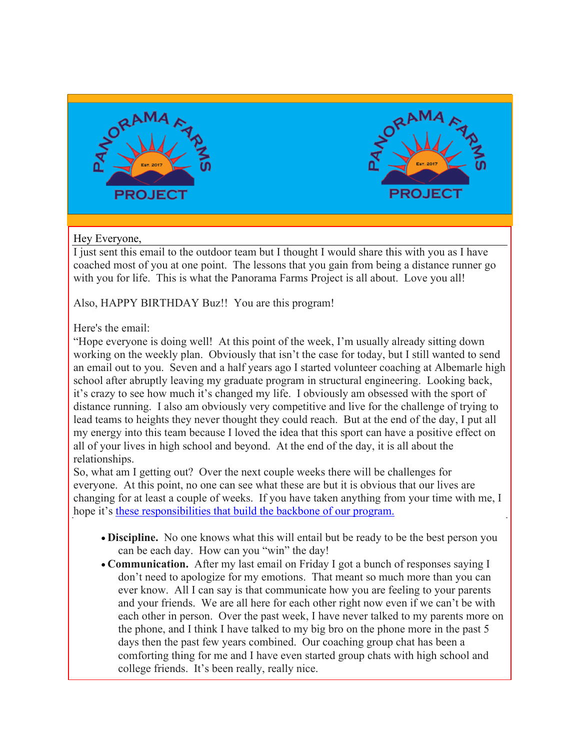



# Hey Everyone,

I just sent this email to the outdoor team but I thought I would share this with you as I have coached most of you at one point. The lessons that you gain from being a distance runner go with you for life. This is what the Panorama Farms Project is all about. Love you all!

Also, HAPPY BIRTHDAY Buz!! You are this program!

Here's the email:

"Hope everyone is doing well! At this point of the week, I'm usually already sitting down working on the weekly plan. Obviously that isn't the case for today, but I still wanted to send an email out to you. Seven and a half years ago I started volunteer coaching at Albemarle high school after abruptly leaving my graduate program in structural engineering. Looking back, it's crazy to see how much it's changed my life. I obviously am obsessed with the sport of distance running. I also am obviously very competitive and live for the challenge of trying to lead teams to heights they never thought they could reach. But at the end of the day, I put all my energy into this team because I loved the idea that this sport can have a positive effect on all of your lives in high school and beyond. At the end of the day, it is all about the relationships.

So, what am I getting out? Over the next couple weeks there will be challenges for everyone. At this point, no one can see what these are but it is obvious that our lives are changing for at least a couple of weeks. If you have taken anything from your time with me, I hope it's these responsibilities that build the backbone of our program.

- **Discipline.** No one knows what this will entail but be ready to be the best person you can be each day. How can you "win" the day!
- **Communication.** After my last email on Friday I got a bunch of responses saying I don't need to apologize for my emotions. That meant so much more than you can ever know. All I can say is that communicate how you are feeling to your parents and your friends. We are all here for each other right now even if we can't be with each other in person. Over the past week, I have never talked to my parents more on the phone, and I think I have talked to my big bro on the phone more in the past 5 days then the past few years combined. Our coaching group chat has been a comforting thing for me and I have even started group chats with high school and college friends. It's been really, really nice.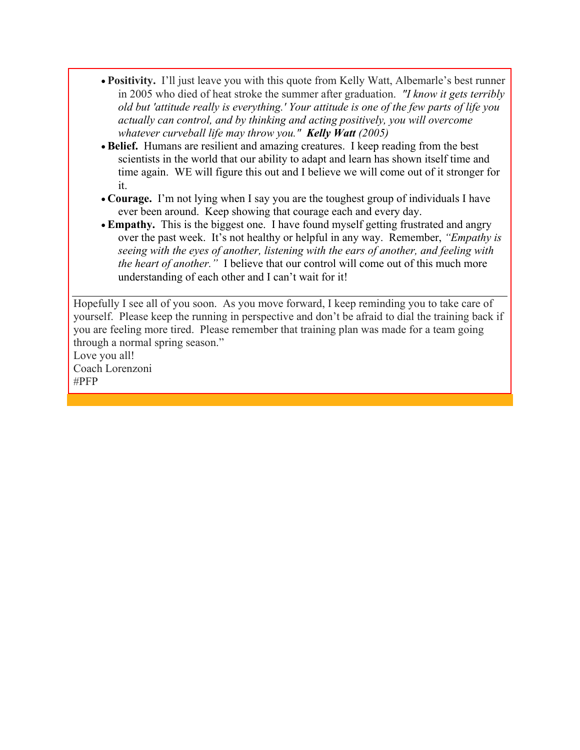- **Positivity.** I'll just leave you with this quote from Kelly Watt, Albemarle's best runner in 2005 who died of heat stroke the summer after graduation. *"I know it gets terribly old but 'attitude really is everything.' Your attitude is one of the few parts of life you actually can control, and by thinking and acting positively, you will overcome whatever curveball life may throw you." Kelly Watt (2005)*
- **Belief.** Humans are resilient and amazing creatures. I keep reading from the best scientists in the world that our ability to adapt and learn has shown itself time and time again. WE will figure this out and I believe we will come out of it stronger for it.
- **Courage.** I'm not lying when I say you are the toughest group of individuals I have ever been around. Keep showing that courage each and every day.
- **Empathy.** This is the biggest one. I have found myself getting frustrated and angry over the past week. It's not healthy or helpful in any way. Remember, *"Empathy is seeing with the eyes of another, listening with the ears of another, and feeling with the heart of another."* I believe that our control will come out of this much more understanding of each other and I can't wait for it!

Hopefully I see all of you soon. As you move forward, I keep reminding you to take care of yourself. Please keep the running in perspective and don't be afraid to dial the training back if you are feeling more tired. Please remember that training plan was made for a team going through a normal spring season."

Love you all! Coach Lorenzoni #PFP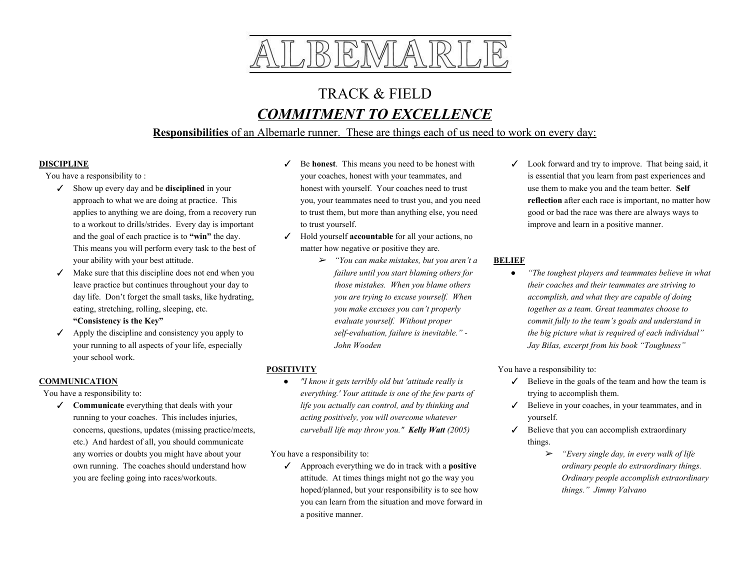

# TRACK & FIELD *COMMITMENT TO EXCELLENCE*

# **Responsibilities** of an Albemarle runner. These are things each of us need to work on every day:

#### **DISCIPLINE**

You have a responsibility to :

- ✓ Show up every day and be **disciplined** in your approach to what we are doing at practice. This applies to anything we are doing, from a recovery run to a workout to drills/strides. Every day is important and the goal of each practice is to **"win"** the day. This means you will perform every task to the best of your ability with your best attitude.
- $\checkmark$  Make sure that this discipline does not end when you leave practice but continues throughout your day to day life. Don't forget the small tasks, like hydrating, eating, stretching, rolling, sleeping, etc.

#### **"Consistency is the Key"**

 $\checkmark$  Apply the discipline and consistency you apply to your running to all aspects of your life, especially your school work.

## **COMMUNICATION**

You have a responsibility to:

✓ **Communicate** everything that deals with your running to your coaches. This includes injuries, concerns, questions, updates (missing practice/meets, etc.) And hardest of all, you should communicate any worries or doubts you might have about your own running. The coaches should understand how you are feeling going into races/workouts.

- ✓ Be **honest**. This means you need to be honest with your coaches, honest with your teammates, and honest with yourself. Your coaches need to trust you, your teammates need to trust you, and you need to trust them, but more than anything else, you need to trust yourself.
- ✓ Hold yourself **accountable** for all your actions, no matter how negative or positive they are.
	- ➢ *"You can make mistakes, but you aren't a failure until you start blaming others for those mistakes. When you blame others you are trying to excuse yourself. When you make excuses you can't properly evaluate yourself. Without proper self-evaluation, failure is inevitable." - John Wooden*

# **POSITIVITY**

*● "I know it gets terribly old but 'attitude really is everything.' Your attitude is one of the few parts of life you actually can control, and by thinking and acting positively, you will overcome whatever curveball life may throw you." Kelly Watt (2005)*

You have a responsibility to:

✓ Approach everything we do in track with a **positive** attitude. At times things might not go the way you hoped/planned, but your responsibility is to see how you can learn from the situation and move forward in a positive manner.

 $\angle$  Look forward and try to improve. That being said, it is essential that you learn from past experiences and use them to make you and the team better. **Self reflection** after each race is important, no matter how good or bad the race was there are always ways to improve and learn in a positive manner.

## **BELIEF**

● *"The toughest players and teammates believe in what their coaches and their teammates are striving to accomplish, and what they are capable of doing together as a team. Great teammates choose to commit fully to the team's goals and understand in the big picture what is required of each individual" Jay Bilas, excerpt from his book "Toughness"*

You have a responsibility to:

- $\checkmark$  Believe in the goals of the team and how the team is trying to accomplish them.
- ✓ Believe in your coaches, in your teammates, and in yourself.
- $\checkmark$  Believe that you can accomplish extraordinary things.
	- ➢ *"Every single day, in every walk of life ordinary people do extraordinary things. Ordinary people accomplish extraordinary things." Jimmy Valvano*